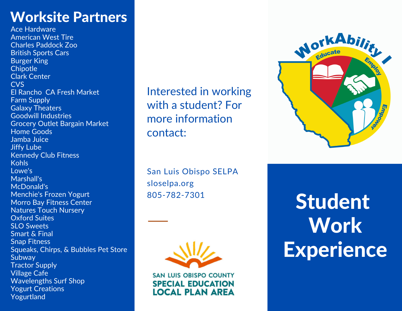# Worksite Partners

Ace Hardware American West Tire Charles Paddock Zoo British Sports Cars Burger King **Chipotle** Clark Center CVS El Rancho CA Fresh Market **Farm Supply** Galaxy Theaters Goodwill Industries Grocery Outlet Bargain Market Home Goods Jamba Juice Jiffy Lube Kennedy Club Fitness Kohls Lowe's Marshall's McDonald's Menchie's Frozen Yogurt Morro Bay Fitness Center Natures Touch Nursery Oxford Suites SLO Sweets Smart & Final Snap Fitness Squeaks, Chirps, & Bubbles Pet Store Subway Tractor Supply Village Cafe Wavelengths Surf Shop Yogurt Creations Yogurtland

Interested in working with a student? For more information contact:



San Luis Obispo SELPA sloselpa.org 805-782-7301



**SAN LUIS OBISPO COUNTY SPECIAL EDUCATION LOCAL PLAN AREA** 

Student **Work Experience**